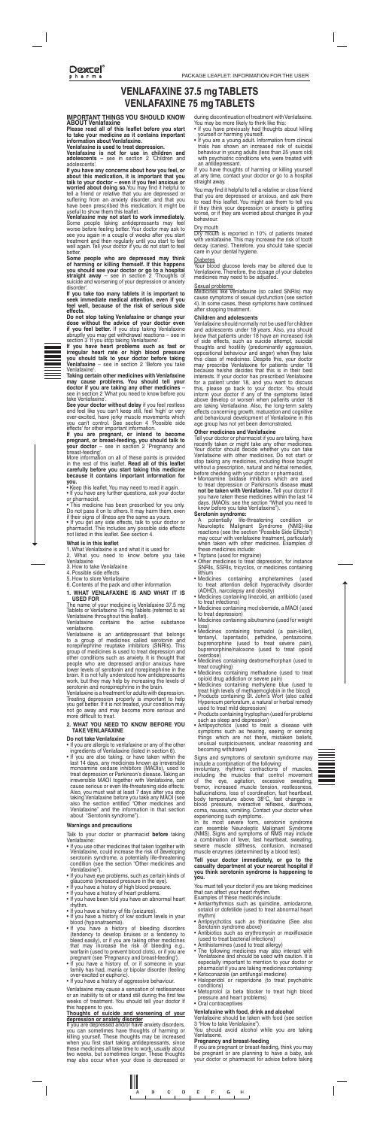**Dexcel** pharma

# **TABLETS** WENLAFAXINE 37.5 mg TABLETS **VENLAFAXINE 75 mg TABLETS**

### **IMPORTANT THINGS YOU SHOULD KNOW ABOUT** Venlafaxine

**Please read all of this leaflet before you start** to take your medicine as it contains important information about Venlafaxine.

**Venlafaxine is used to treat depression.** 

Venlafaxine is not for use in children and adolescents – see in section 2 'Children and .'adolescents

If you have any concerns about how you feel, or about this medication, it is important that you talk to your doctor – even if you feel anxious or worried about doing so.You may find it helpful to tell a friend or relative that you are depressed or suftering from an anxiety disorder, and that you have been prescribed this medication; it might be useful to show them this leaflet.

**Venlafaxine may not start to work immediately.** Some people taking antidepressants may teel worse betore teeling better. Your doctor may ask to see you again in a couple of weeks after you start treatment and then regularly until you start to feel well again. Tell your doctor if you do not start to feel .better

Some people who are depressed may think of harming or killing themself. If this happens you should see your doctor or go to a hospital **straight away** – see in section 2 Thoughts of suicide and worsening of your depression or anxiety disorder'.

If you take too many tablets it is important to seek immediate medical attention, even if you feel well, because of the risk of serious side effects. **.effects**

**Do not stop taking Venlafaxine or change your** dose without the advice of your doctor even **if you feel better.** If you stop taking Venlafaxine abruptly you may get withdrawal reactions – see in section 3 'If you stop taking Venlafaxine'.



If you have heart problems such as fast or **irregular heart rate or high blood pressure** you should talk to your doctor before taking **Venlafaxine** – see in section 2 'Before you take .'Venlafaxine

Taking certain other medicines with Venlafaxine may cause problems. You should tell your doctor if you are taking any other medicines see in section 2 'What you need to know before you take Venlafaxine'.

**See your doctor without delay** if you feel restless and feel like you can't keep still, feel 'high' or very over-excited, have jerky muscle movements which you can't control. See section 4 'Possible side effects' for other important information.

If you are pregnant, or intend to become pregnant, or breast-feeding, you should talk to **your doctor** – see in section 2 'Pregnancy and breast-feeding'.

More information on all of these points is provided in the rest of this leaflet. **Read all of this leaflet** carefully before you start taking this medicine **because it contains important information for .you**

• Keep this leaflet. You may need to read it again.

• If you have any further questions, ask your doctor or pharmacist.

• This medicine has been prescribed for you only. Do not pass it on to others. It may harm them, even if their signs of illness are the same as yours.

• If you get any side effects, talk to your doctor or pharmacist. This includes any possible side effects. not listed in this leaflet. See section 4.

### **What is in this leaflet**

1. What Venlafaxine is and what it is used for

- What you need to know before you take Venlafaxine
- 3. How to take Venlafaxine
- 4. Possible side effects
- 5. How to store Venlafaxine
- 6. Contents of the pack and other information

during discontinuation of treatment with Venlafaxine. You may be more likely to think like this:

- If you have previously had thoughts about killing yourself or harming yourself.
- It you are a young adult. Information from clinical trials has shown an increased risk of suicidal behaviour in young adults (less than 25 years old) with psychiatric conditions who were treated with an antidepressant.

If you have thoughts of harming or killing yourself at any time, contact your doctor or go to a hospital straight away.

Venlafaxine contains the active substance .venlafaxine

Venlafaxine is an antidepressant that belongs to a group of medicines called serotonin and norepinephrine reuptake inhibitors (SNRIs). This group of medicines is used to treat depression and other conditions such as anxiety. It is thought that people who are depressed and/or anxious have lower levels of serotonin and norepinephrine in the brain. It is not fully understood how antidepressants work, but they may help by increasing the levels of serotonin and norepinephrine in the brain.

Venlafaxine is a treatment for adults with depression. Treating depression properly is important to help you get better. If it is not treated, your condition may not go away and may become more serious and more difficult to treat.

### **2. WHAT YOU NEED TO KNOW BEFORE YOU TAKE VENLAFAXINE**

#### **Do not take Venlafaxine**

- If you are allergic to venlafaxine or any of the other ingredients of Venlafaxine (listed in section  $6$ ).
- If you are also taking, or have taken within the last 14 days, any medicines known as irreversible monoamine oxidase inhibitors (MAOIs), used to treat depression or Parkinson's disease. Taking an irreversible MAOI together with Venlafaxine, can cause serious or even life-threatening side effects. Also, you must wait at least 7 days after you stop taking Venlafaxine before you take any MAOI (see also the section entitled "Other medicines and Venlafaxine" and the information in that section about "Serotonin syndrome").

Talk to your doctor or pharmacist **before** taking :Venlafaxine

- If you use other medicines that taken together with Venlafaxine, could increase the risk of developing serotonin syndrome, a potentially life-threatening condition (see the section "Other medicines and Venlafaxine").
- If you have eye problems, such as certain kinds of glaucoma (increased pressure in the eye).
- If you have a history of high blood pressure.
- If you have a history of heart problems.
- If you have been told you have an abnormal heart .rhythm
- If you have a history of fits (seizures).
- If you have a history of low sodium levels in your blood (hyponatraemia).
- If you have a history of bleeding disorders (tendency to develop bruises or a tendency to bleed easily), or if you are taking other medicines that may increase the risk of bleeding e.g., warfarin (used to prevent blood clots), or if you are pregnant (see 'Pregnancy and breast-feeding').
- If you have a history of, or if someone in your family has had, mania or bipolar disorder (feeling over-excited or euphoric)
- If you have a history of aggressive behaviour.

Venlafaxine may cause a sensation of restlessness or an inability to sit or stand still during the first few weeks of treatment. You should tell your doctor if this happens to you.

### Thoughts of suicide and worsening of your **depression or anxiety disorder**

If you are depressed and/or have anxiety disorders, you can sometimes have thoughts of harming or killing yourself. These thoughts may be increased when you first start taking antidepressants, since these medicines all take time to work, usually about two weeks, but sometimes longer. These thoughts may also occur when your dose is decreased or

- Medicines containing sibutramine (used for weight loss)
- Medicines containing tramadol (a pain-killer), fentanyl, tapentadol, pethidine, pentazocine, fentanyl, tapentadol, pethidine, pentazocine, buprenorphine (used to treat severe pain), buprenorphine/naloxone (used to treat opioid (overdose
- Medicines containing dextromethorphan (used to treat coughing)
- Medicines containing methadone (used to treat opioid drug addiction or severe pain)
- Medicines containing methylene blue (used to treat high levels of methaemoglobin in the blood)
- Products containing St. John's Wort (also called Hypericum perforatum, a natural or herbal remedy used to treat mild depression)
- Products containing tryptophan (used for problems such as sleep and depression)
- Antipsychotics (used to treat a disease with symptoms such as hearing, seeing or sensing things which are not there, mistaken beliefs, unusual suspiciousness, unclear reasoning and becoming withdrawn)

Signs and symptoms of serotonin syndrome may include a combination of the following:

involuntary, rhythmic contractions of muscles, including the muscles that control movement of the eye, agitation, excessive sweating, tremor, increased muscle tension, restlessness, hallucinations, loss of coordination, fast heartbeat, body temperature above  $38^{\circ}$ C, fast changes in blood pressure, overactive reflexes, diarrhoea, coma, nausea, vomiting. Contact your doctor when experiencing such symptoms.

In its most severe form, serotonin syndrome can resemble Neuroleptic Malignant Syndrome (NMS). Signs and symptoms of NMS may include a combination of fever, fast heartbeat, sweating, severe muscle stiffness, confusion, increased muscle enzymes (determined by a blood test).

You may find it helpful to tell a relative or close friend that you are depressed or anxious, and ask them to read this leaflet. You might ask them to tell you if they think your depression or anxiety is getting worse, or if they are worried about changes in your .behaviour

# Dry mouth

Dry mouth is reported in 10% of patients treated with venlafaxine. This may increase the risk of tooth decay (caries). Therefore, you should take special care in your dental hygiene.

#### **Diabetes**

Your blood glucose levels may be altered due to Venlafaxine. Therefore, the dosage of your diabetes medicines may need to be adjusted.

### Sexual problems

Medicines like Venlafaxine (so called SNRIs) may cause symptoms of sexual dysfunction (see section dated symptoms from these symptoms have continued after stopping treatment.

### **Children and adolescents**

Venlafaxine should normally not be used for children and adolescents under 18 years. Also, you should know that patients under 18 have an increased risk of side effects, such as suicide attempt, suicidal thoughts and hostility (predominantly aggression, oppositional behaviour and anger) when they take this class of medicines. Despite this, your doctor may prescribe Venlafaxine for patients under 18 because he/she decides that this is in their best interests. If your doctor has prescribed Venlafaxine for a patient under 18, and you want to discuss this, please go back to your doctor. You should inform your doctor if any of the symptoms listed above develop or worsen when patients under 18 are taking Venlafaxine. Also, the long-term safety effects concerning growth, maturation and cognitive and behavioural development of Venlafaxine in this age group has not yet been demonstrated.

### **Other medicines and Venlafaxine**

Tell your doctor or pharmacist if you are taking, have recently taken or might take any other medicines. Your doctor should decide whether you can take Venlafaxine with other medicines. Do not start or stop taking any medicines, including those bought without a prescription, natural and herbal remedies, before checking with your doctor or pharmacist.

• Monoamine oxidase inhibitors which are used to treat depression or Parkinson's disease must not be taken with Venlafaxine. Tell your doctor if you have taken these medicines within the last 14 days. (MAOIs: see the section "What you need to know before you take Venlafaxine").

# Serotonin syndrome:

A potentially life-threatening condition or Neuroleptic Malignant Syndrome (NMS)-like reactions (see the section "Possible Side Effects") may occur with venlafaxine treatment, particularly when taken with other medicines. Examples of these medicines include:

- Triptans (used for migraine)
- Other medicines to treat depression, for instance SNRIs, SSRIs, tricyclics, or medicines containing lithium
- Medicines containing amphetamines (used to treat attention deficit hyperactivity disorder (ADHD), narcolepsy and obesity) • Medicines containing linezolid, an antibiotic (used to treat infections) • Medicines containing moclobemide, a MAOI (used to treat depression)

### **1. WHAT VENLAFAXINE IS AND WHAT IT IS USED FOR**

The name of your medicine is Venlafaxine 37.5 mg Tablets or Venlafaxine 75 mg Tablets (referred to as Venlafaxine throughout this leaflet).

#### **precautions and Warnings**

Tell your doctor immediately, or go to the casualty department at your nearest hospital if you think serotonin syndrome is happening to **.you**

You must tell your doctor if you are taking medicines that can affect your heart rhythm.

Examples of these medicines include:

- Antiarrhythmics such as quinidine, amiodarone, sotalol or dofetilide (used to treat abnormal heart (rhythm
- Antipsychotics such as thioridazine (See also Serotonin syndrome above)
- Antibiotics such as erythromycin or moxifloxacin (used to treat bacterial infections)
- Antihistamines (used to treat allergy)
- The following medicines may also interact with Venlafaxine and should be used with caution. It is especially important to mention to your doctor or pharmacist if you are taking medicines containing:
- Ketoconazole (an antifungal medicine)
- Haloperidol or risperidone (to treat psychiatric (conditions
- Metoprolol (a beta blocker to treat high blood pressure and heart problems)
- Oral contraceptives

# **Venlafaxine with food, drink and alcohol**

Venlafaxine should be taken with food (see section 3 "How to take Venlafaxine").

You should avoid alcohol while you are taking .Venlafaxine

# **feeding** Pregnancy and breast-feeding

If you are pregnant or breast-feeding, think you may be pregnant or are planning to have a baby, ask your doctor or pharmacist for advice before taking